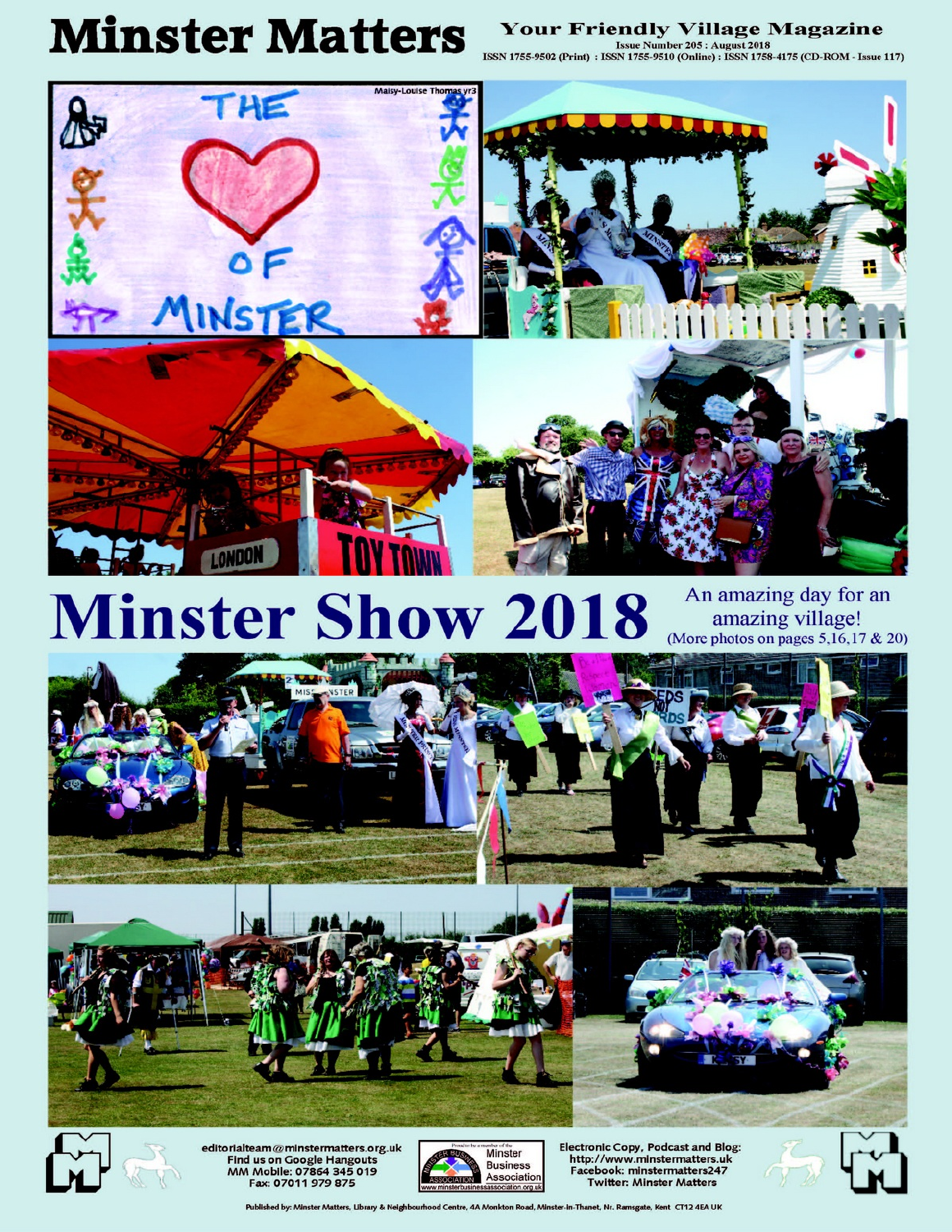# **Minster Matters**

#### **Your Friendly Village Magazine**

Issue Number 205 : August 2018<br>ISSN 1755-9502 (Print) : ISSN 1755-9510 (Online) : ISSN 1758-4175 (CD-ROM - Issue 117)



# **Minster Show 2018**

An amazing day for an amazing village!<br>(More photos on pages 5, 16, 17 & 20)



editorialteam@minstermatters.org.uk Find us on Google Hangouts<br>MM Mobile: 07864 345 019<br>Fax: 07011 979 875



**Electronic Copy, Podcast and Blog:** http://www.minstermatters.uk Facebook: minstermatters247 **Twitter: Minster Matters** 

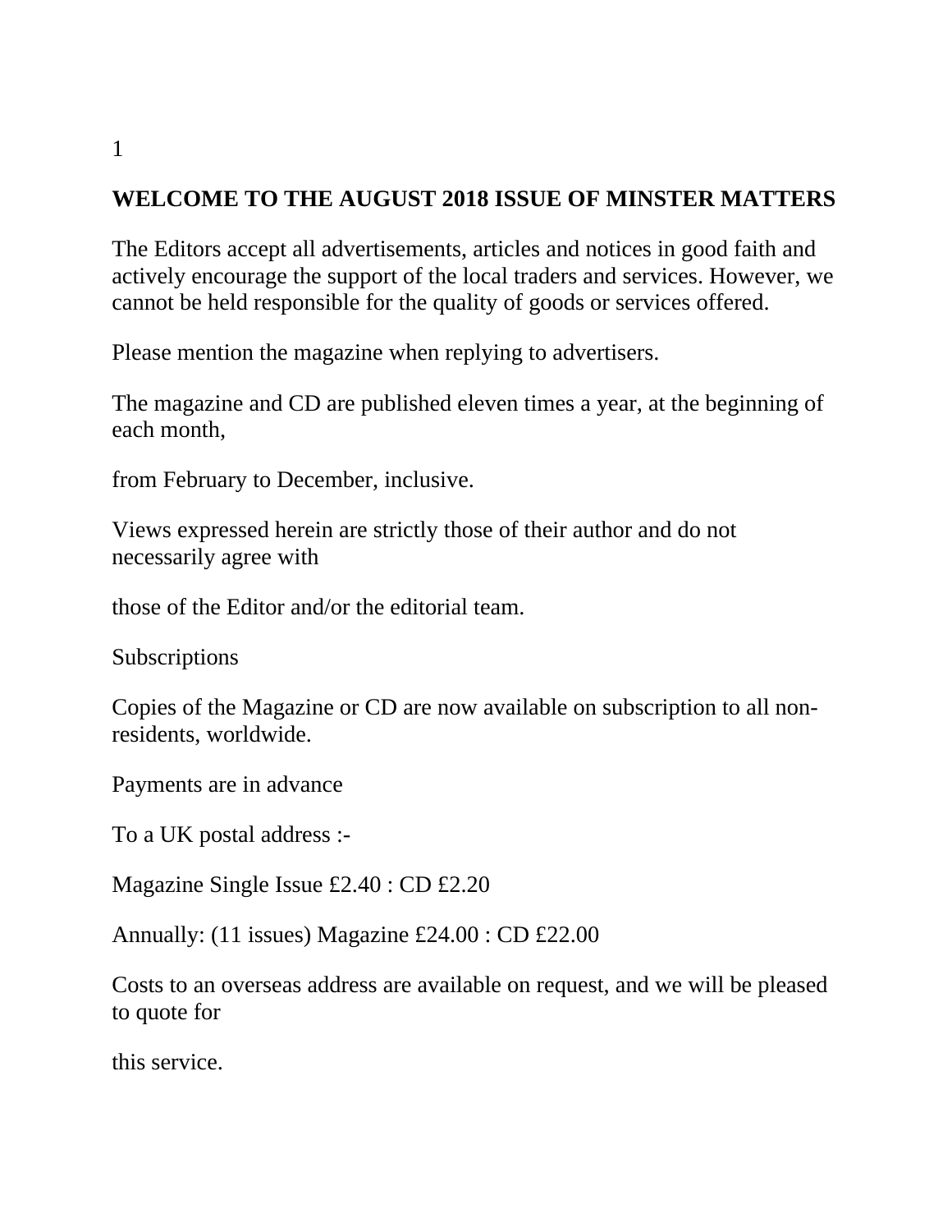# **WELCOME TO THE AUGUST 2018 ISSUE OF MINSTER MATTERS**

The Editors accept all advertisements, articles and notices in good faith and actively encourage the support of the local traders and services. However, we cannot be held responsible for the quality of goods or services offered.

Please mention the magazine when replying to advertisers.

The magazine and CD are published eleven times a year, at the beginning of each month,

from February to December, inclusive.

Views expressed herein are strictly those of their author and do not necessarily agree with

those of the Editor and/or the editorial team.

**Subscriptions** 

Copies of the Magazine or CD are now available on subscription to all nonresidents, worldwide.

Payments are in advance

To a UK postal address :-

Magazine Single Issue £2.40 : CD £2.20

Annually: (11 issues) Magazine £24.00 : CD £22.00

Costs to an overseas address are available on request, and we will be pleased to quote for

this service.

1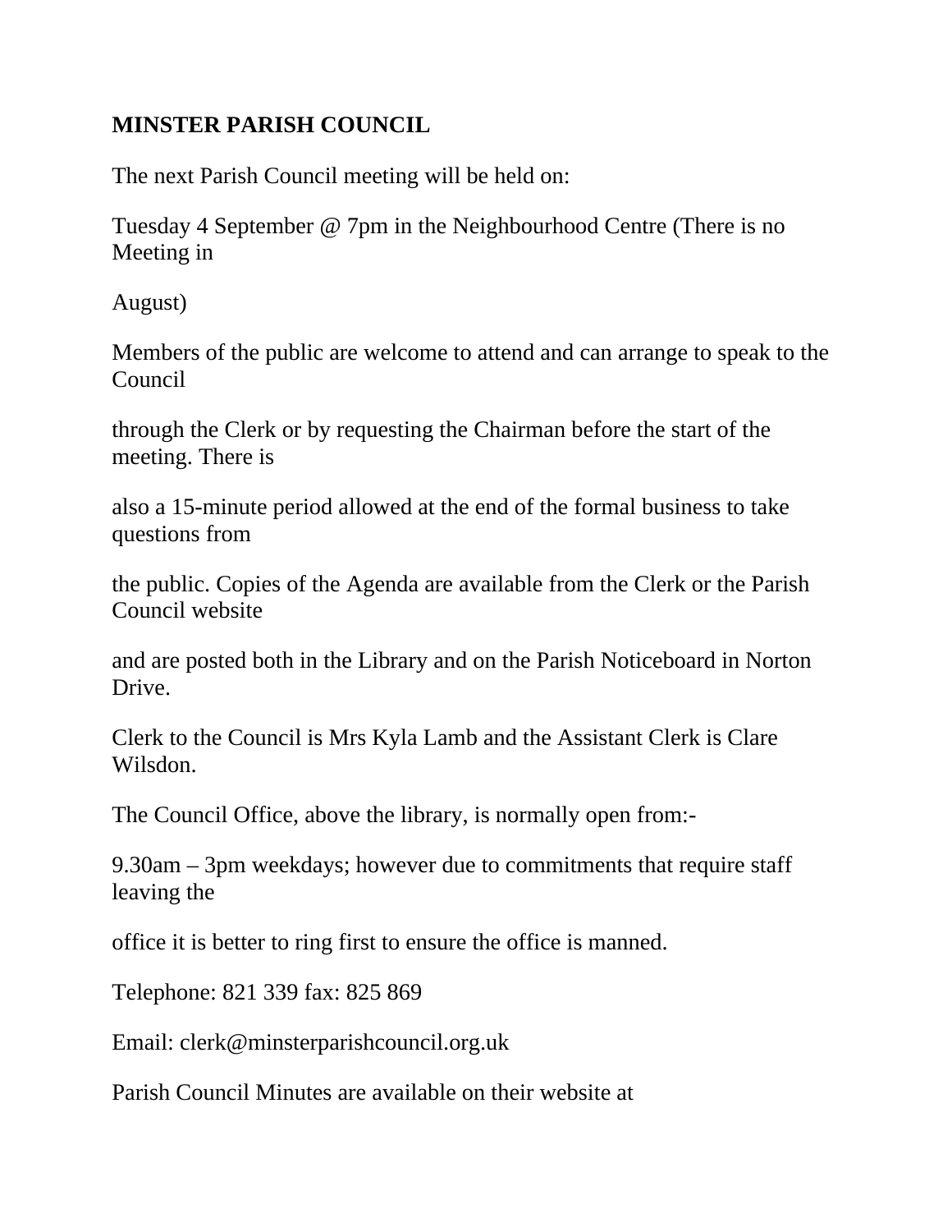#### **MINSTER PARISH COUNCIL**

The next Parish Council meeting will be held on:

Tuesday 4 September @ 7pm in the Neighbourhood Centre (There is no Meeting in

August)

Members of the public are welcome to attend and can arrange to speak to the Council

through the Clerk or by requesting the Chairman before the start of the meeting. There is

also a 15-minute period allowed at the end of the formal business to take questions from

the public. Copies of the Agenda are available from the Clerk or the Parish Council website

and are posted both in the Library and on the Parish Noticeboard in Norton Drive.

Clerk to the Council is Mrs Kyla Lamb and the Assistant Clerk is Clare Wilsdon.

The Council Office, above the library, is normally open from:-

9.30am – 3pm weekdays; however due to commitments that require staff leaving the

office it is better to ring first to ensure the office is manned.

Telephone: 821 339 fax: 825 869

Email: clerk@minsterparishcouncil.org.uk

Parish Council Minutes are available on their website at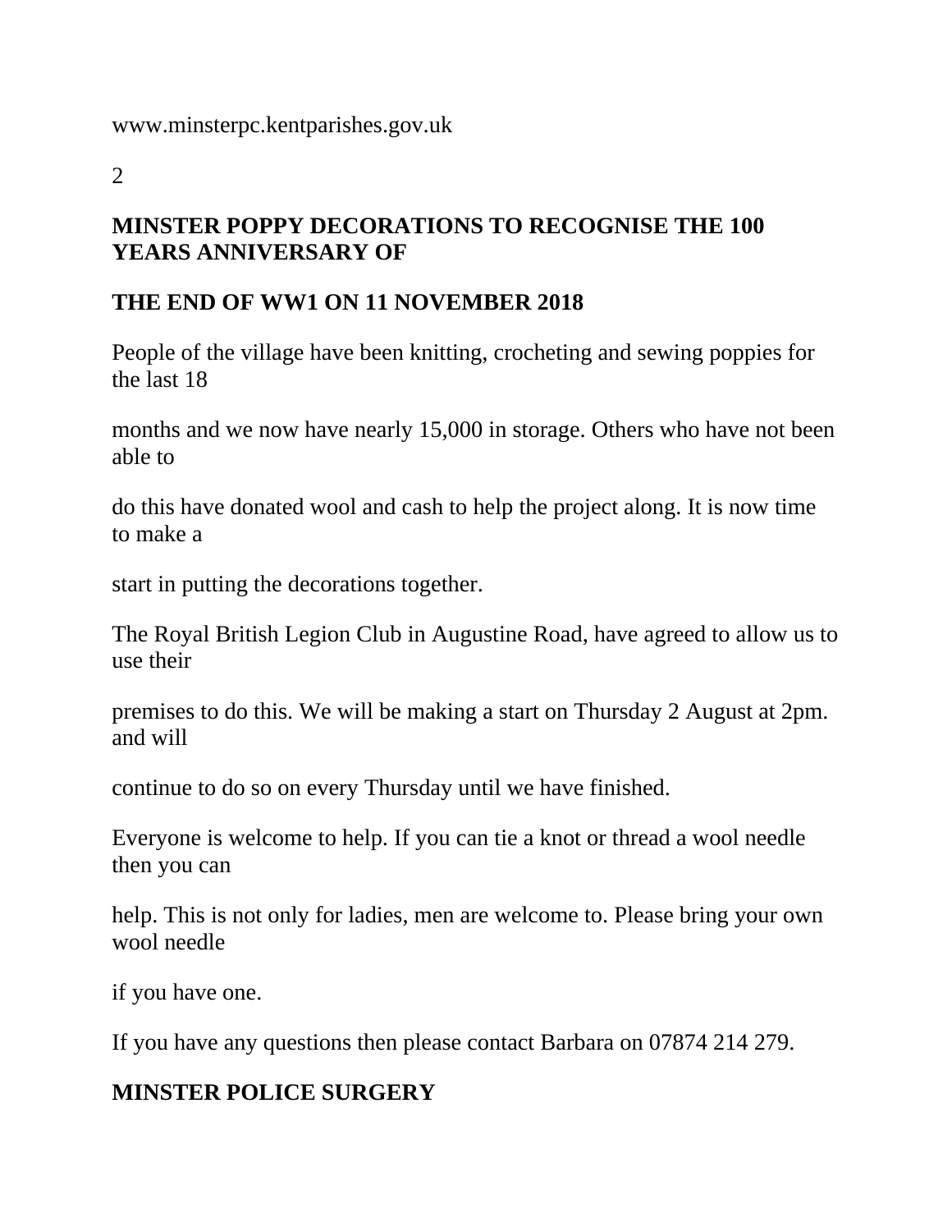2

#### **MINSTER POPPY DECORATIONS TO RECOGNISE THE 100 YEARS ANNIVERSARY OF**

#### **THE END OF WW1 ON 11 NOVEMBER 2018**

People of the village have been knitting, crocheting and sewing poppies for the last 18

months and we now have nearly 15,000 in storage. Others who have not been able to

do this have donated wool and cash to help the project along. It is now time to make a

start in putting the decorations together.

The Royal British Legion Club in Augustine Road, have agreed to allow us to use their

premises to do this. We will be making a start on Thursday 2 August at 2pm. and will

continue to do so on every Thursday until we have finished.

Everyone is welcome to help. If you can tie a knot or thread a wool needle then you can

help. This is not only for ladies, men are welcome to. Please bring your own wool needle

if you have one.

If you have any questions then please contact Barbara on 07874 214 279.

# **MINSTER POLICE SURGERY**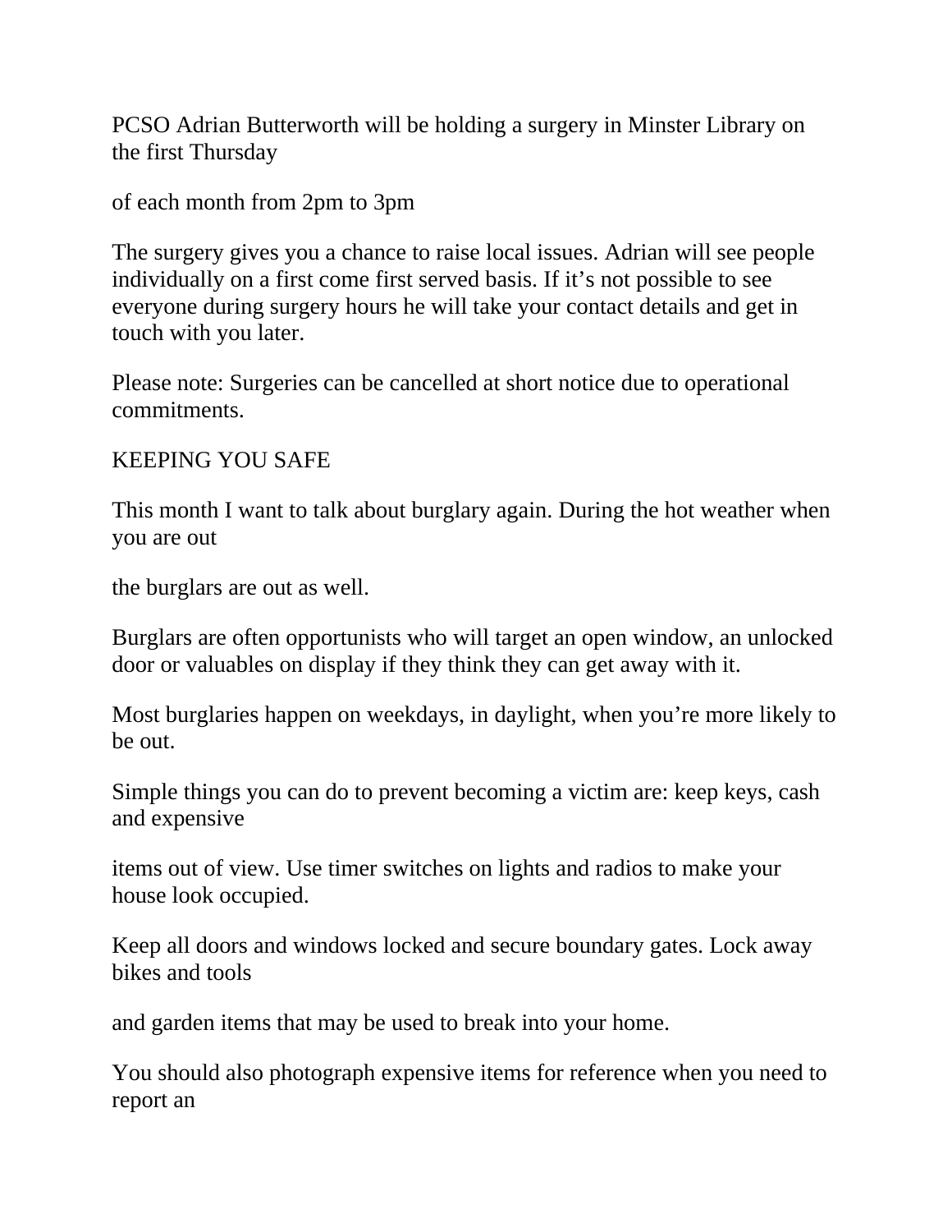PCSO Adrian Butterworth will be holding a surgery in Minster Library on the first Thursday

of each month from 2pm to 3pm

The surgery gives you a chance to raise local issues. Adrian will see people individually on a first come first served basis. If it's not possible to see everyone during surgery hours he will take your contact details and get in touch with you later.

Please note: Surgeries can be cancelled at short notice due to operational commitments.

KEEPING YOU SAFE

This month I want to talk about burglary again. During the hot weather when you are out

the burglars are out as well.

Burglars are often opportunists who will target an open window, an unlocked door or valuables on display if they think they can get away with it.

Most burglaries happen on weekdays, in daylight, when you're more likely to be out.

Simple things you can do to prevent becoming a victim are: keep keys, cash and expensive

items out of view. Use timer switches on lights and radios to make your house look occupied.

Keep all doors and windows locked and secure boundary gates. Lock away bikes and tools

and garden items that may be used to break into your home.

You should also photograph expensive items for reference when you need to report an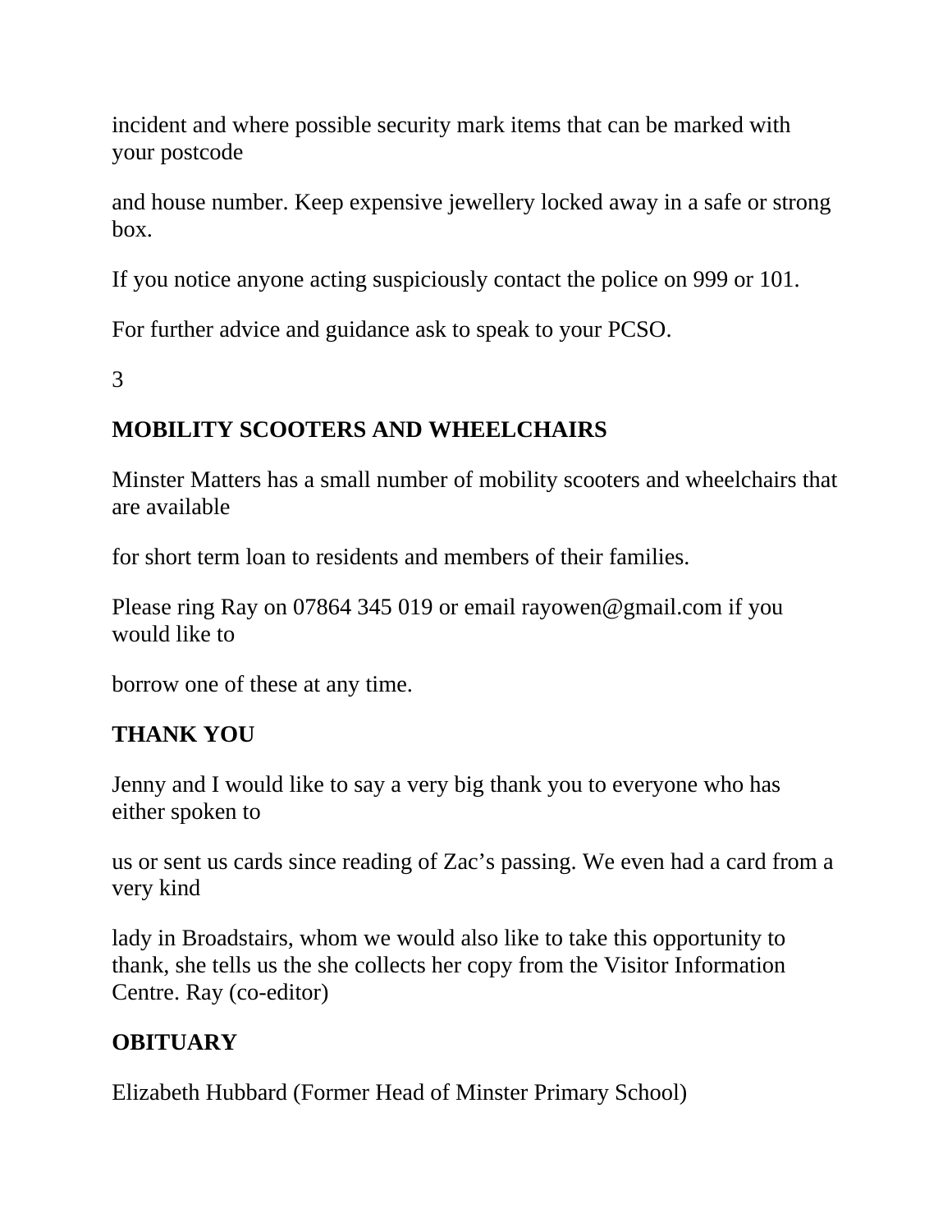incident and where possible security mark items that can be marked with your postcode

and house number. Keep expensive jewellery locked away in a safe or strong box.

If you notice anyone acting suspiciously contact the police on 999 or 101.

For further advice and guidance ask to speak to your PCSO.

3

# **MOBILITY SCOOTERS AND WHEELCHAIRS**

Minster Matters has a small number of mobility scooters and wheelchairs that are available

for short term loan to residents and members of their families.

Please ring Ray on 07864 345 019 or email rayowen@gmail.com if you would like to

borrow one of these at any time.

#### **THANK YOU**

Jenny and I would like to say a very big thank you to everyone who has either spoken to

us or sent us cards since reading of Zac's passing. We even had a card from a very kind

lady in Broadstairs, whom we would also like to take this opportunity to thank, she tells us the she collects her copy from the Visitor Information Centre. Ray (co-editor)

# **OBITUARY**

Elizabeth Hubbard (Former Head of Minster Primary School)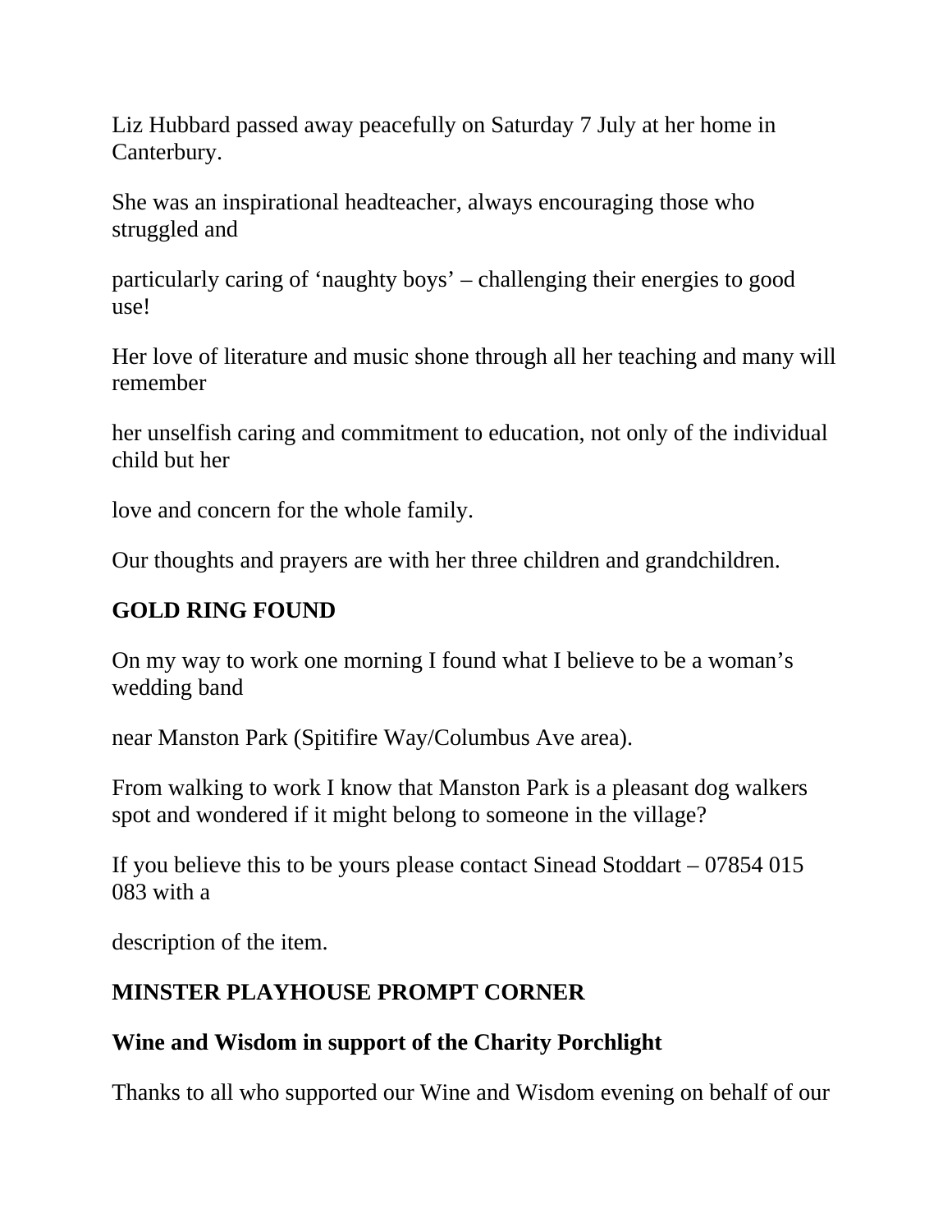Liz Hubbard passed away peacefully on Saturday 7 July at her home in Canterbury.

She was an inspirational headteacher, always encouraging those who struggled and

particularly caring of 'naughty boys' – challenging their energies to good use!

Her love of literature and music shone through all her teaching and many will remember

her unselfish caring and commitment to education, not only of the individual child but her

love and concern for the whole family.

Our thoughts and prayers are with her three children and grandchildren.

#### **GOLD RING FOUND**

On my way to work one morning I found what I believe to be a woman's wedding band

near Manston Park (Spitifire Way/Columbus Ave area).

From walking to work I know that Manston Park is a pleasant dog walkers spot and wondered if it might belong to someone in the village?

If you believe this to be yours please contact Sinead Stoddart – 07854 015 083 with a

description of the item.

#### **MINSTER PLAYHOUSE PROMPT CORNER**

#### **Wine and Wisdom in support of the Charity Porchlight**

Thanks to all who supported our Wine and Wisdom evening on behalf of our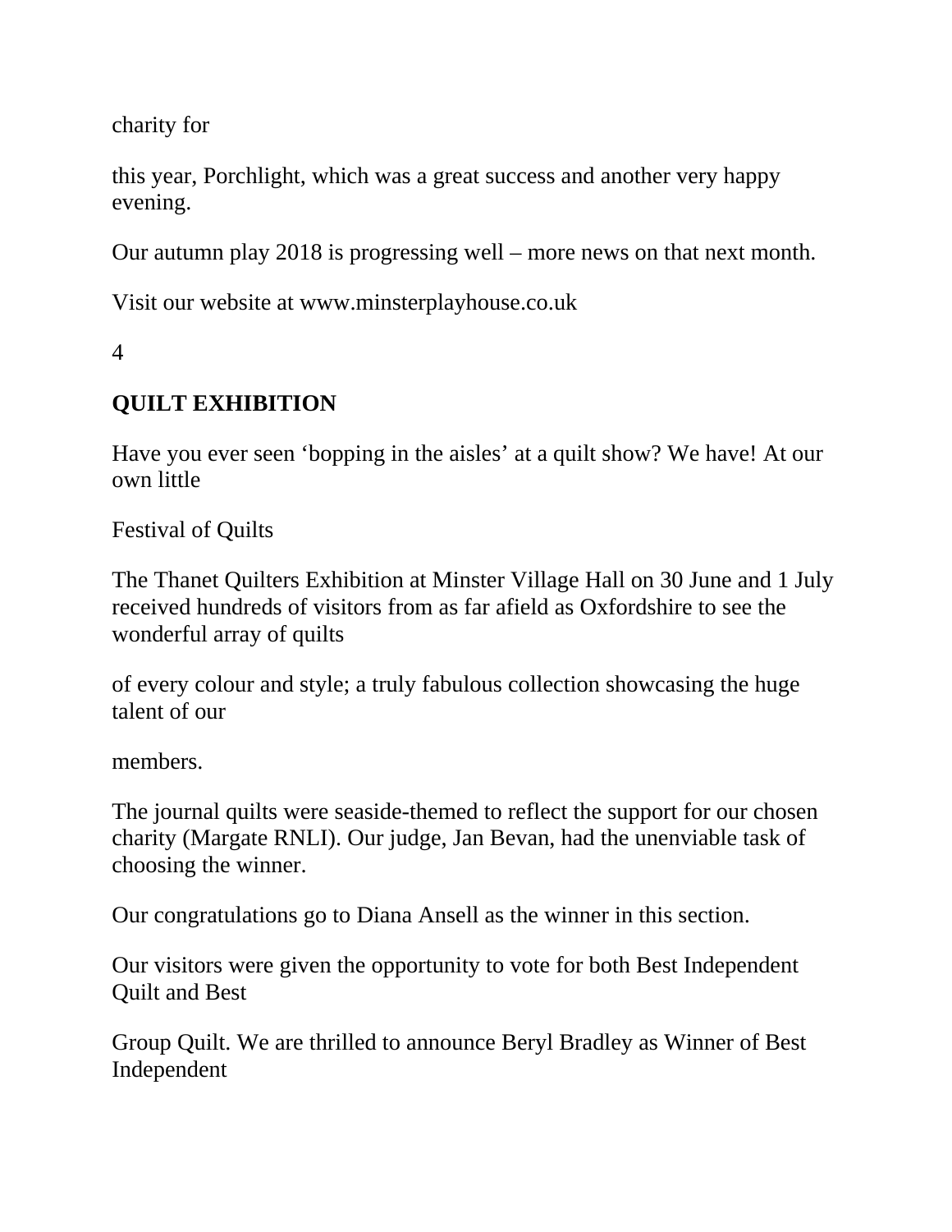charity for

this year, Porchlight, which was a great success and another very happy evening.

Our autumn play 2018 is progressing well – more news on that next month.

Visit our website at www.minsterplayhouse.co.uk

4

# **QUILT EXHIBITION**

Have you ever seen 'bopping in the aisles' at a quilt show? We have! At our own little

Festival of Quilts

The Thanet Quilters Exhibition at Minster Village Hall on 30 June and 1 July received hundreds of visitors from as far afield as Oxfordshire to see the wonderful array of quilts

of every colour and style; a truly fabulous collection showcasing the huge talent of our

members.

The journal quilts were seaside-themed to reflect the support for our chosen charity (Margate RNLI). Our judge, Jan Bevan, had the unenviable task of choosing the winner.

Our congratulations go to Diana Ansell as the winner in this section.

Our visitors were given the opportunity to vote for both Best Independent Quilt and Best

Group Quilt. We are thrilled to announce Beryl Bradley as Winner of Best Independent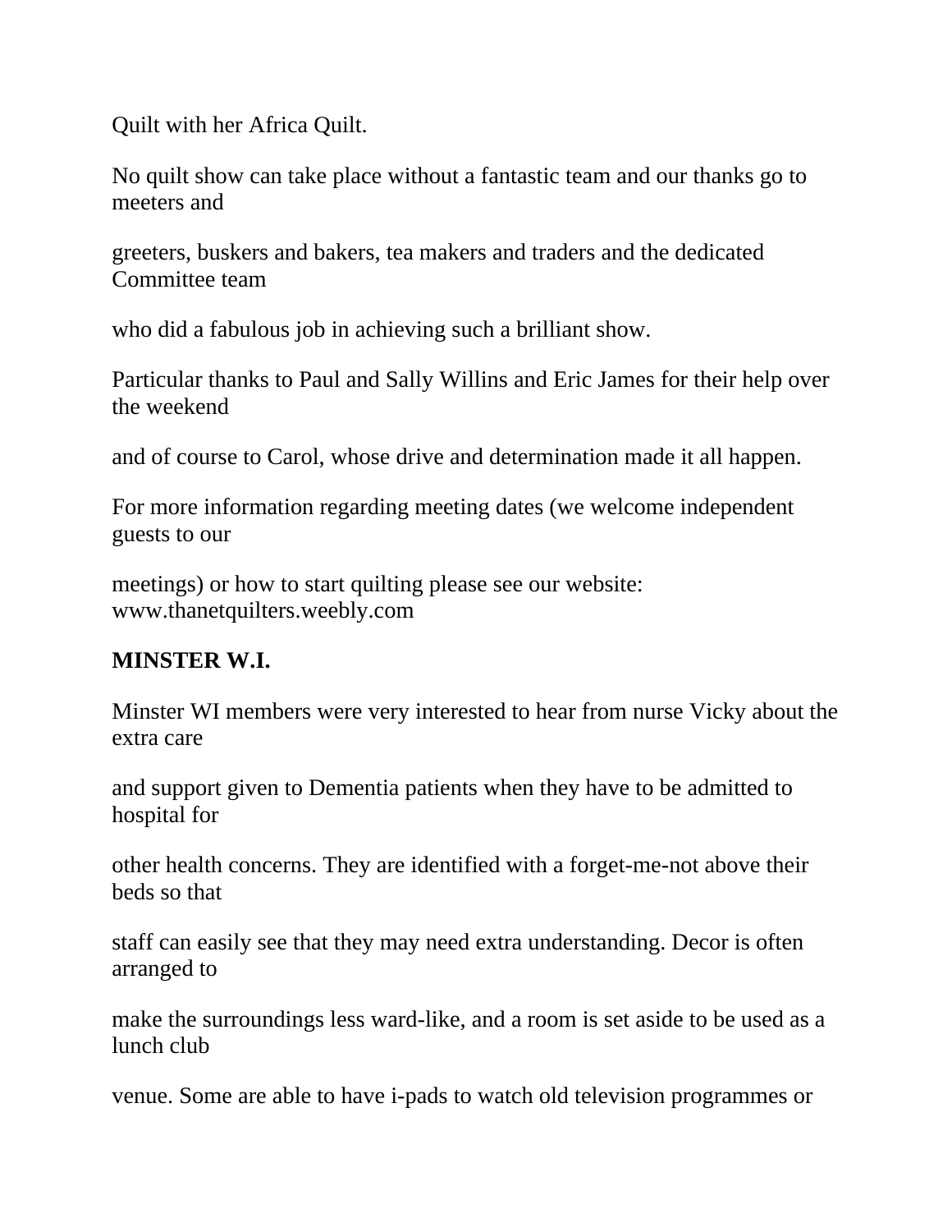Quilt with her Africa Quilt.

No quilt show can take place without a fantastic team and our thanks go to meeters and

greeters, buskers and bakers, tea makers and traders and the dedicated Committee team

who did a fabulous job in achieving such a brilliant show.

Particular thanks to Paul and Sally Willins and Eric James for their help over the weekend

and of course to Carol, whose drive and determination made it all happen.

For more information regarding meeting dates (we welcome independent guests to our

meetings) or how to start quilting please see our website: www.thanetquilters.weebly.com

# **MINSTER W.I.**

Minster WI members were very interested to hear from nurse Vicky about the extra care

and support given to Dementia patients when they have to be admitted to hospital for

other health concerns. They are identified with a forget-me-not above their beds so that

staff can easily see that they may need extra understanding. Decor is often arranged to

make the surroundings less ward-like, and a room is set aside to be used as a lunch club

venue. Some are able to have i-pads to watch old television programmes or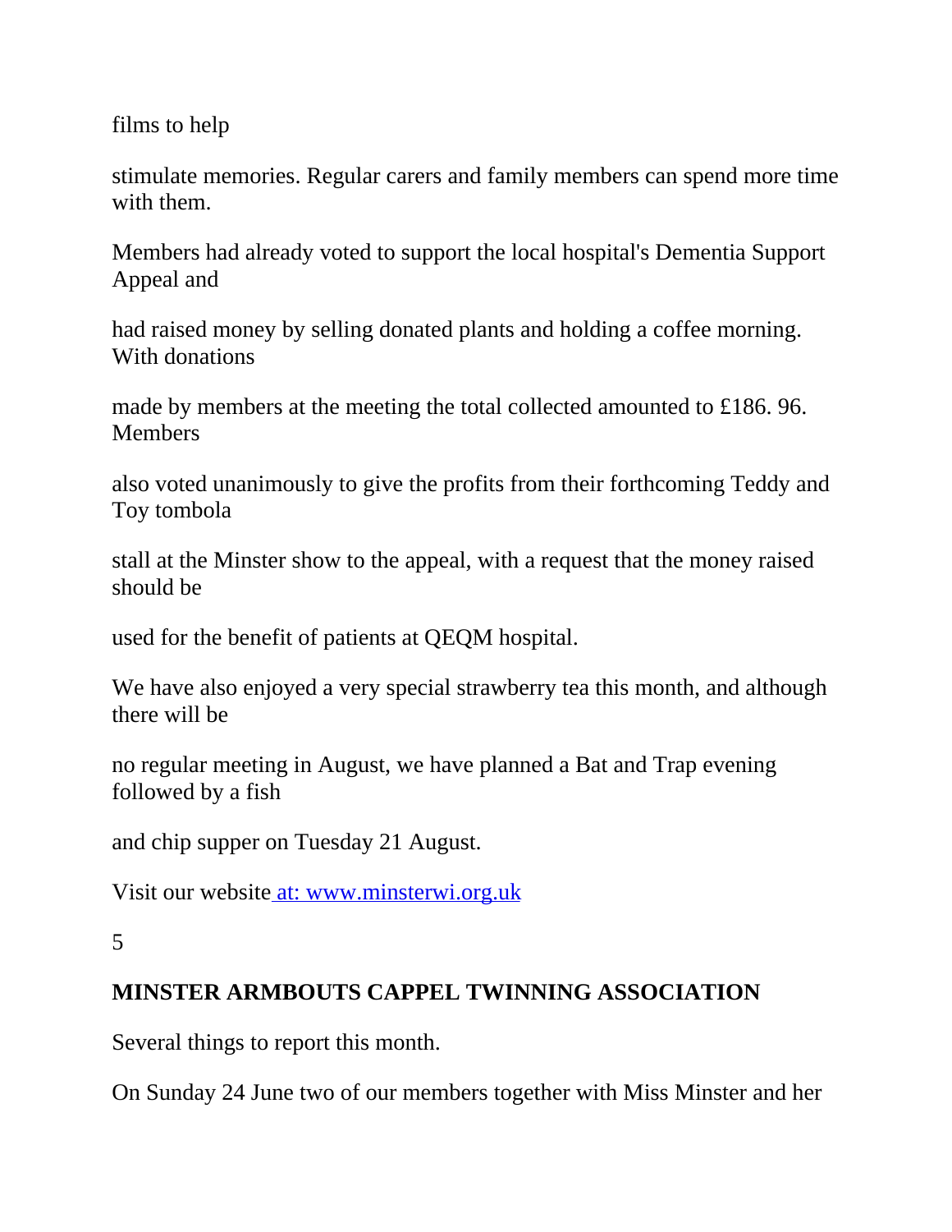films to help

stimulate memories. Regular carers and family members can spend more time with them.

Members had already voted to support the local hospital's Dementia Support Appeal and

had raised money by selling donated plants and holding a coffee morning. With donations

made by members at the meeting the total collected amounted to £186. 96. **Members** 

also voted unanimously to give the profits from their forthcoming Teddy and Toy tombola

stall at the Minster show to the appeal, with a request that the money raised should be

used for the benefit of patients at QEQM hospital.

We have also enjoyed a very special strawberry tea this month, and although there will be

no regular meeting in August, we have planned a Bat and Trap evening followed by a fish

and chip supper on Tuesday 21 August.

Visit our website at: [www.minsterwi.org.uk](http://www.minsterwi.org.uk/)

#### **MINSTER ARMBOUTS CAPPEL TWINNING ASSOCIATION**

Several things to report this month.

On Sunday 24 June two of our members together with Miss Minster and her

<sup>5</sup>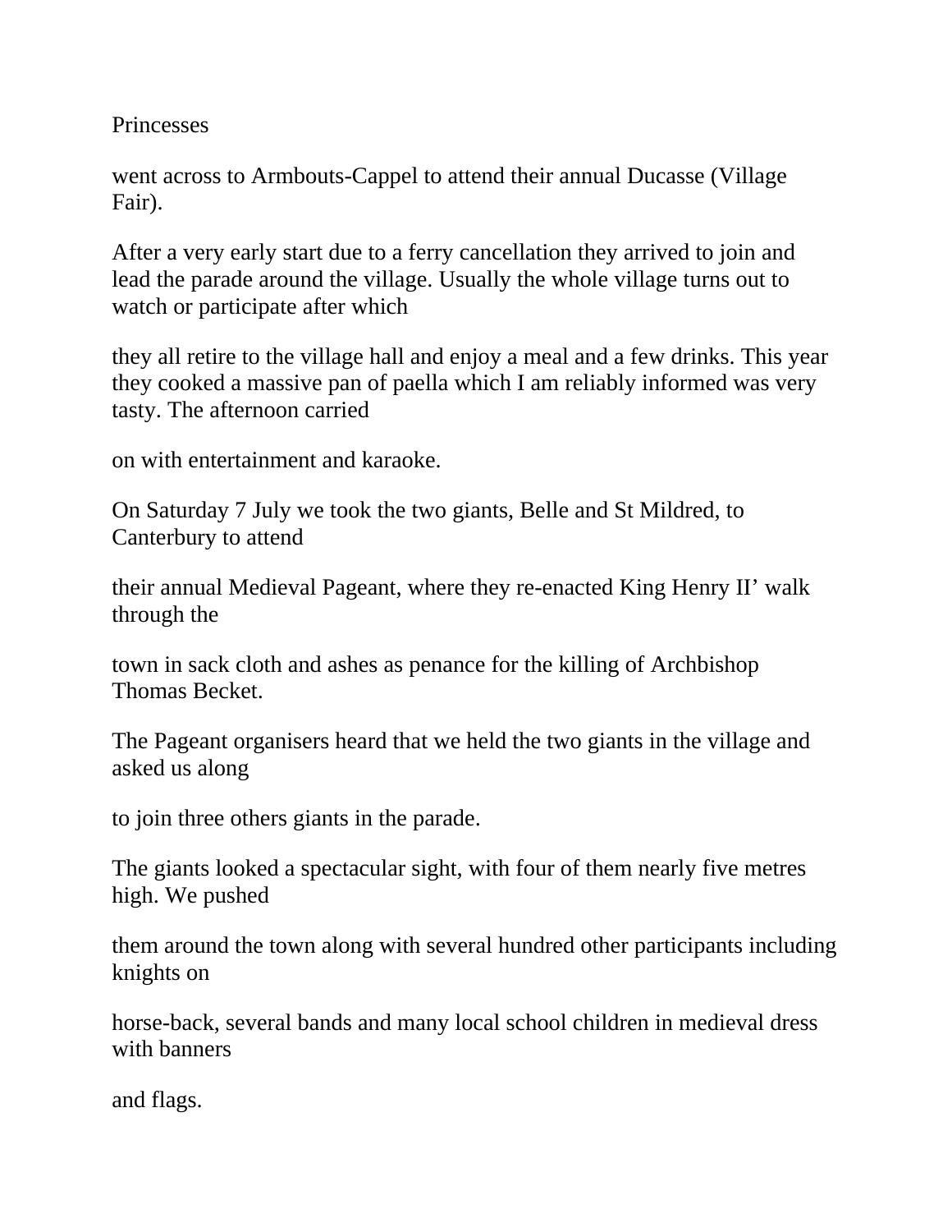**Princesses** 

went across to Armbouts-Cappel to attend their annual Ducasse (Village Fair).

After a very early start due to a ferry cancellation they arrived to join and lead the parade around the village. Usually the whole village turns out to watch or participate after which

they all retire to the village hall and enjoy a meal and a few drinks. This year they cooked a massive pan of paella which I am reliably informed was very tasty. The afternoon carried

on with entertainment and karaoke.

On Saturday 7 July we took the two giants, Belle and St Mildred, to Canterbury to attend

their annual Medieval Pageant, where they re-enacted King Henry II' walk through the

town in sack cloth and ashes as penance for the killing of Archbishop Thomas Becket.

The Pageant organisers heard that we held the two giants in the village and asked us along

to join three others giants in the parade.

The giants looked a spectacular sight, with four of them nearly five metres high. We pushed

them around the town along with several hundred other participants including knights on

horse-back, several bands and many local school children in medieval dress with banners

and flags.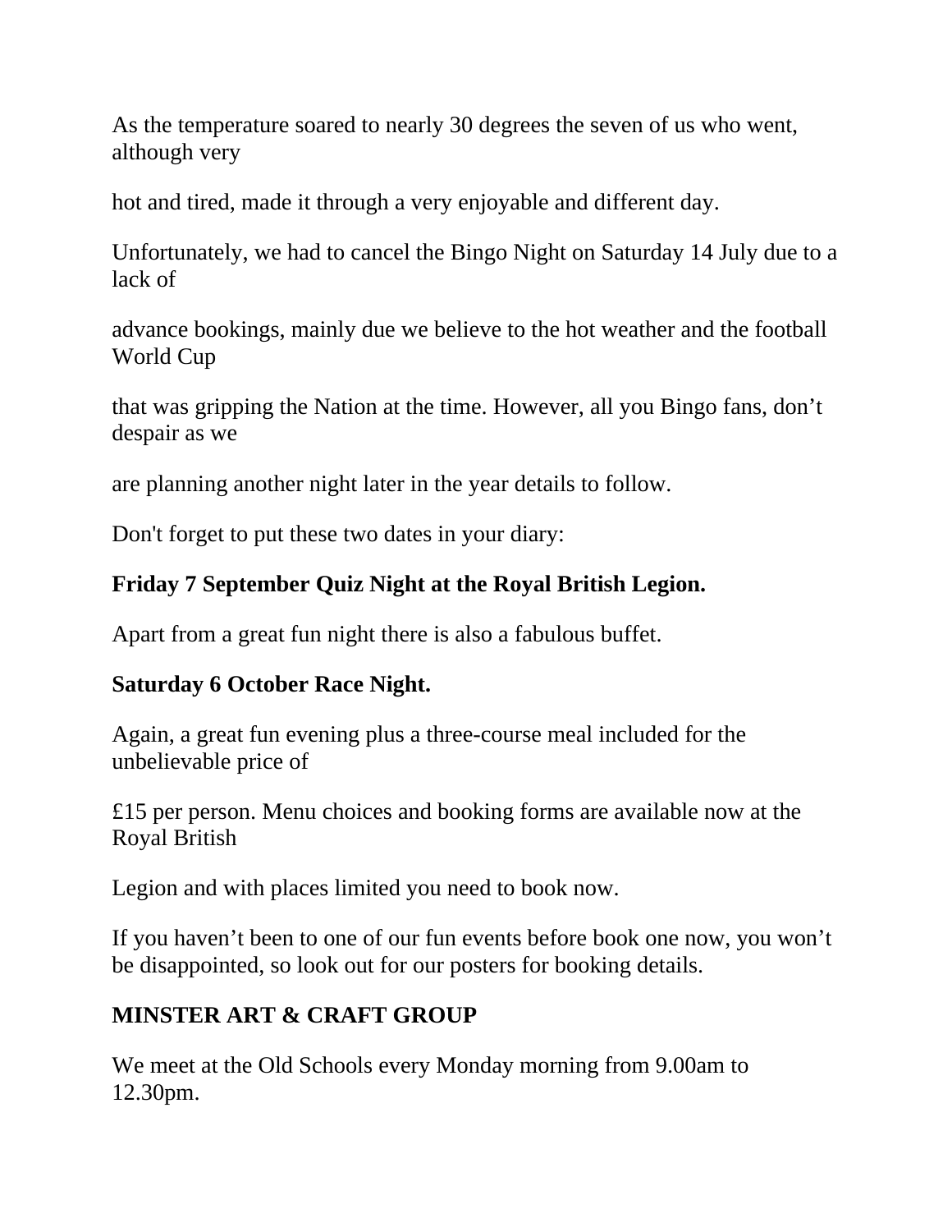As the temperature soared to nearly 30 degrees the seven of us who went, although very

hot and tired, made it through a very enjoyable and different day.

Unfortunately, we had to cancel the Bingo Night on Saturday 14 July due to a lack of

advance bookings, mainly due we believe to the hot weather and the football World Cup

that was gripping the Nation at the time. However, all you Bingo fans, don't despair as we

are planning another night later in the year details to follow.

Don't forget to put these two dates in your diary:

# **Friday 7 September Quiz Night at the Royal British Legion.**

Apart from a great fun night there is also a fabulous buffet.

#### **Saturday 6 October Race Night.**

Again, a great fun evening plus a three-course meal included for the unbelievable price of

£15 per person. Menu choices and booking forms are available now at the Royal British

Legion and with places limited you need to book now.

If you haven't been to one of our fun events before book one now, you won't be disappointed, so look out for our posters for booking details.

# **MINSTER ART & CRAFT GROUP**

We meet at the Old Schools every Monday morning from 9.00am to 12.30pm.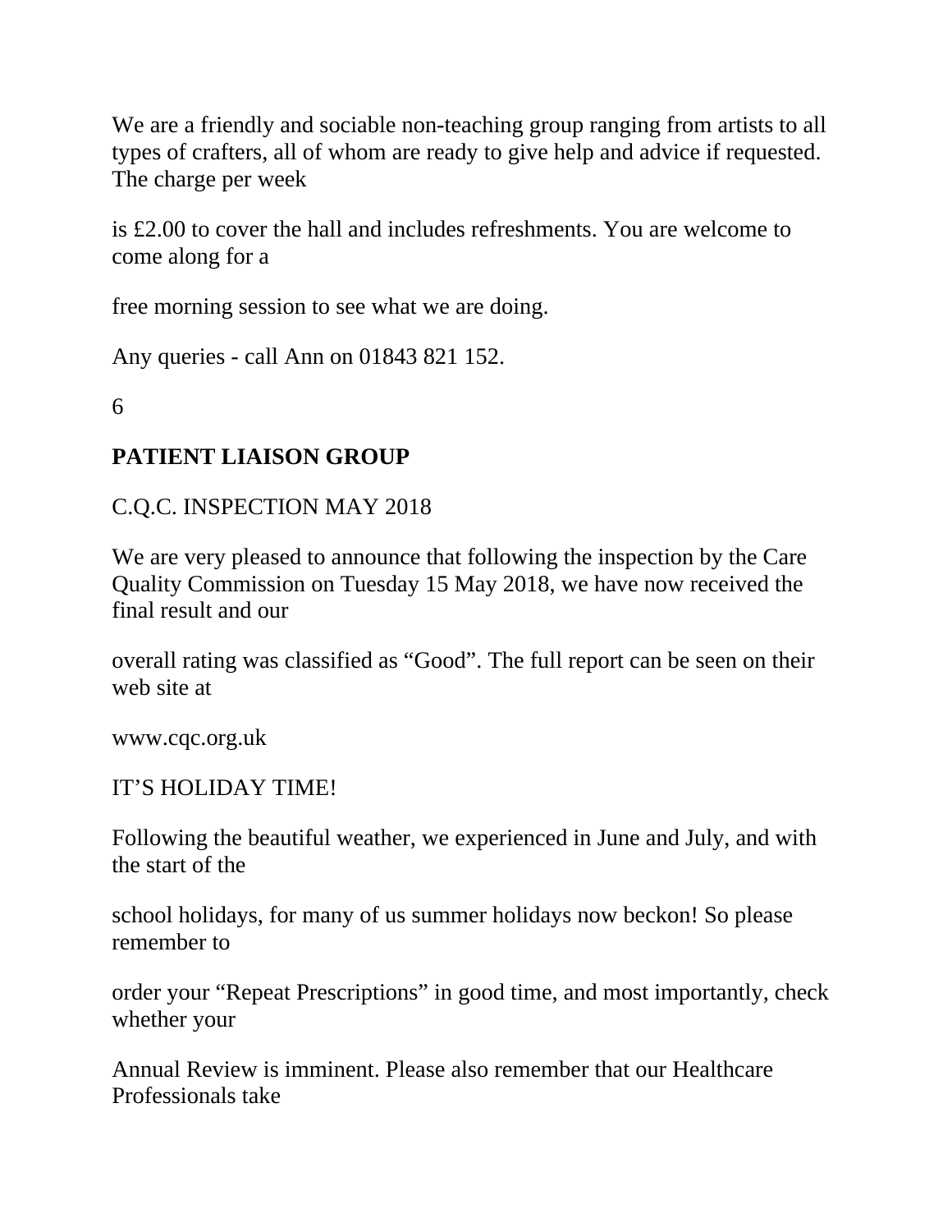We are a friendly and sociable non-teaching group ranging from artists to all types of crafters, all of whom are ready to give help and advice if requested. The charge per week

is £2.00 to cover the hall and includes refreshments. You are welcome to come along for a

free morning session to see what we are doing.

Any queries - call Ann on 01843 821 152.

6

#### **PATIENT LIAISON GROUP**

C.Q.C. INSPECTION MAY 2018

We are very pleased to announce that following the inspection by the Care Quality Commission on Tuesday 15 May 2018, we have now received the final result and our

overall rating was classified as "Good". The full report can be seen on their web site at

www.cqc.org.uk

#### IT'S HOLIDAY TIME!

Following the beautiful weather, we experienced in June and July, and with the start of the

school holidays, for many of us summer holidays now beckon! So please remember to

order your "Repeat Prescriptions" in good time, and most importantly, check whether your

Annual Review is imminent. Please also remember that our Healthcare Professionals take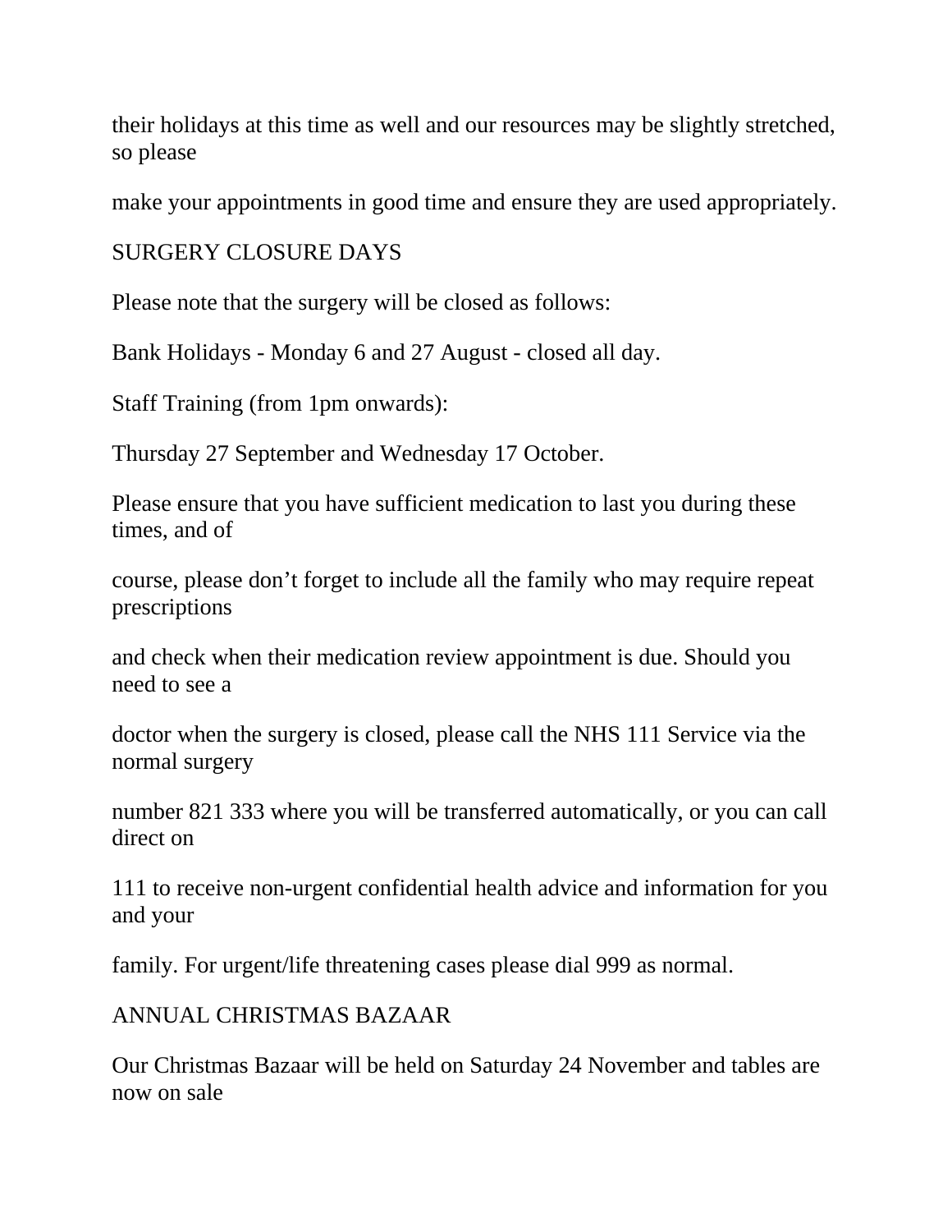their holidays at this time as well and our resources may be slightly stretched, so please

make your appointments in good time and ensure they are used appropriately.

SURGERY CLOSURE DAYS

Please note that the surgery will be closed as follows:

Bank Holidays - Monday 6 and 27 August - closed all day.

Staff Training (from 1pm onwards):

Thursday 27 September and Wednesday 17 October.

Please ensure that you have sufficient medication to last you during these times, and of

course, please don't forget to include all the family who may require repeat prescriptions

and check when their medication review appointment is due. Should you need to see a

doctor when the surgery is closed, please call the NHS 111 Service via the normal surgery

number 821 333 where you will be transferred automatically, or you can call direct on

111 to receive non-urgent confidential health advice and information for you and your

family. For urgent/life threatening cases please dial 999 as normal.

#### ANNUAL CHRISTMAS BAZAAR

Our Christmas Bazaar will be held on Saturday 24 November and tables are now on sale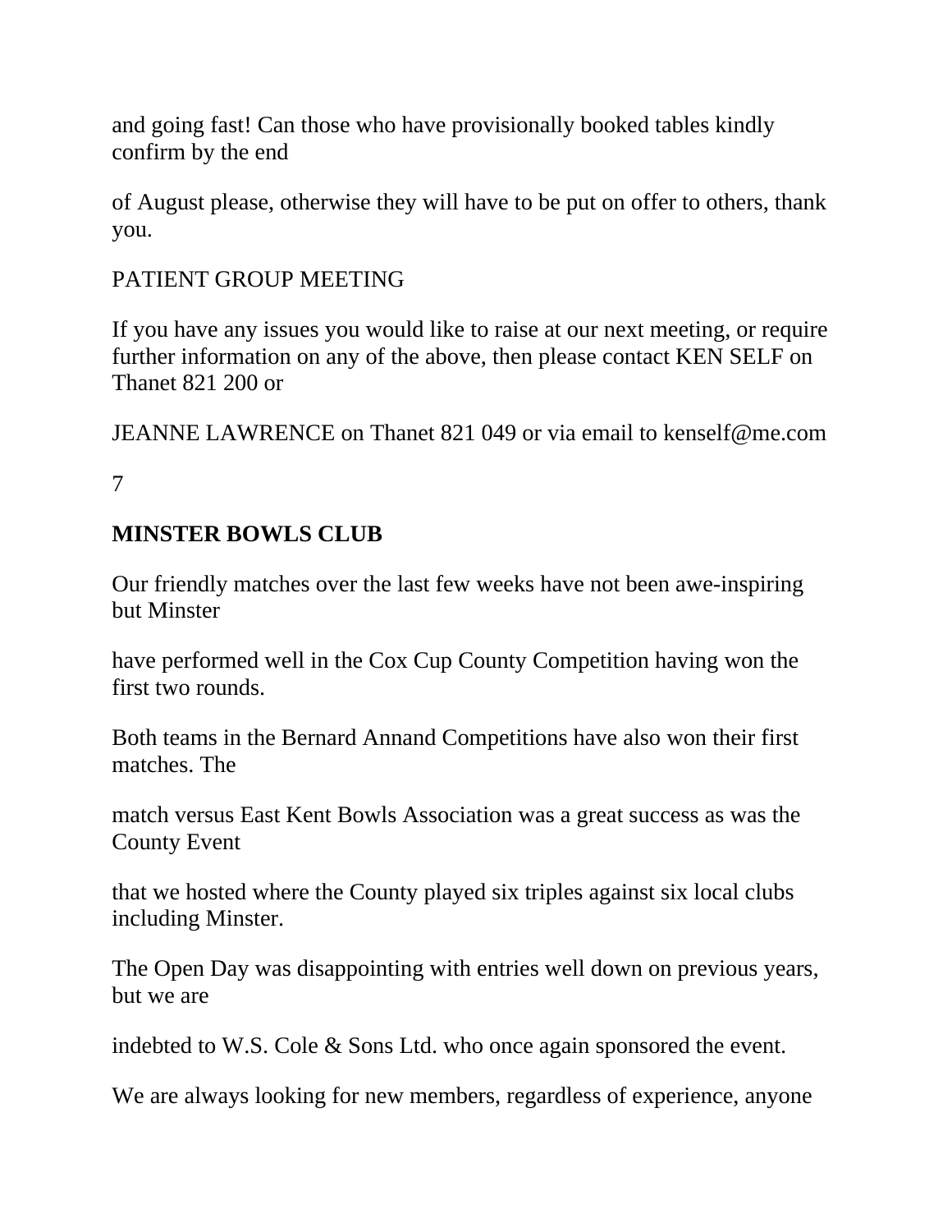and going fast! Can those who have provisionally booked tables kindly confirm by the end

of August please, otherwise they will have to be put on offer to others, thank you.

#### PATIENT GROUP MEETING

If you have any issues you would like to raise at our next meeting, or require further information on any of the above, then please contact KEN SELF on Thanet 821 200 or

JEANNE LAWRENCE on Thanet 821 049 or via email to kenself@me.com

7

#### **MINSTER BOWLS CLUB**

Our friendly matches over the last few weeks have not been awe-inspiring but Minster

have performed well in the Cox Cup County Competition having won the first two rounds.

Both teams in the Bernard Annand Competitions have also won their first matches. The

match versus East Kent Bowls Association was a great success as was the County Event

that we hosted where the County played six triples against six local clubs including Minster.

The Open Day was disappointing with entries well down on previous years, but we are

indebted to W.S. Cole & Sons Ltd. who once again sponsored the event.

We are always looking for new members, regardless of experience, anyone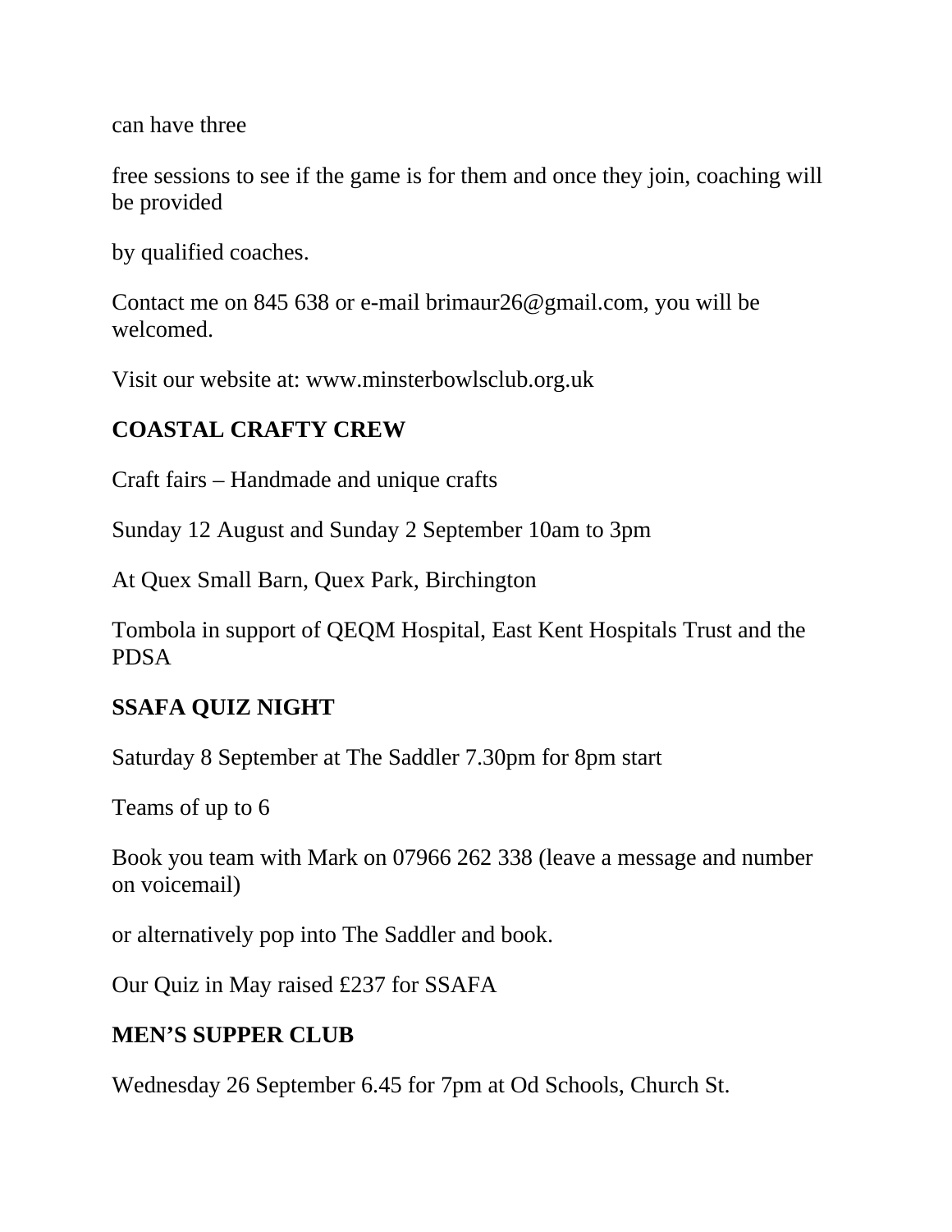can have three

free sessions to see if the game is for them and once they join, coaching will be provided

by qualified coaches.

Contact me on 845 638 or e-mail brimaur26@gmail.com, you will be welcomed.

Visit our website at: www.minsterbowlsclub.org.uk

# **COASTAL CRAFTY CREW**

Craft fairs – Handmade and unique crafts

Sunday 12 August and Sunday 2 September 10am to 3pm

At Quex Small Barn, Quex Park, Birchington

Tombola in support of QEQM Hospital, East Kent Hospitals Trust and the PDSA

#### **SSAFA QUIZ NIGHT**

Saturday 8 September at The Saddler 7.30pm for 8pm start

Teams of up to 6

Book you team with Mark on 07966 262 338 (leave a message and number on voicemail)

or alternatively pop into The Saddler and book.

Our Quiz in May raised £237 for SSAFA

#### **MEN'S SUPPER CLUB**

Wednesday 26 September 6.45 for 7pm at Od Schools, Church St.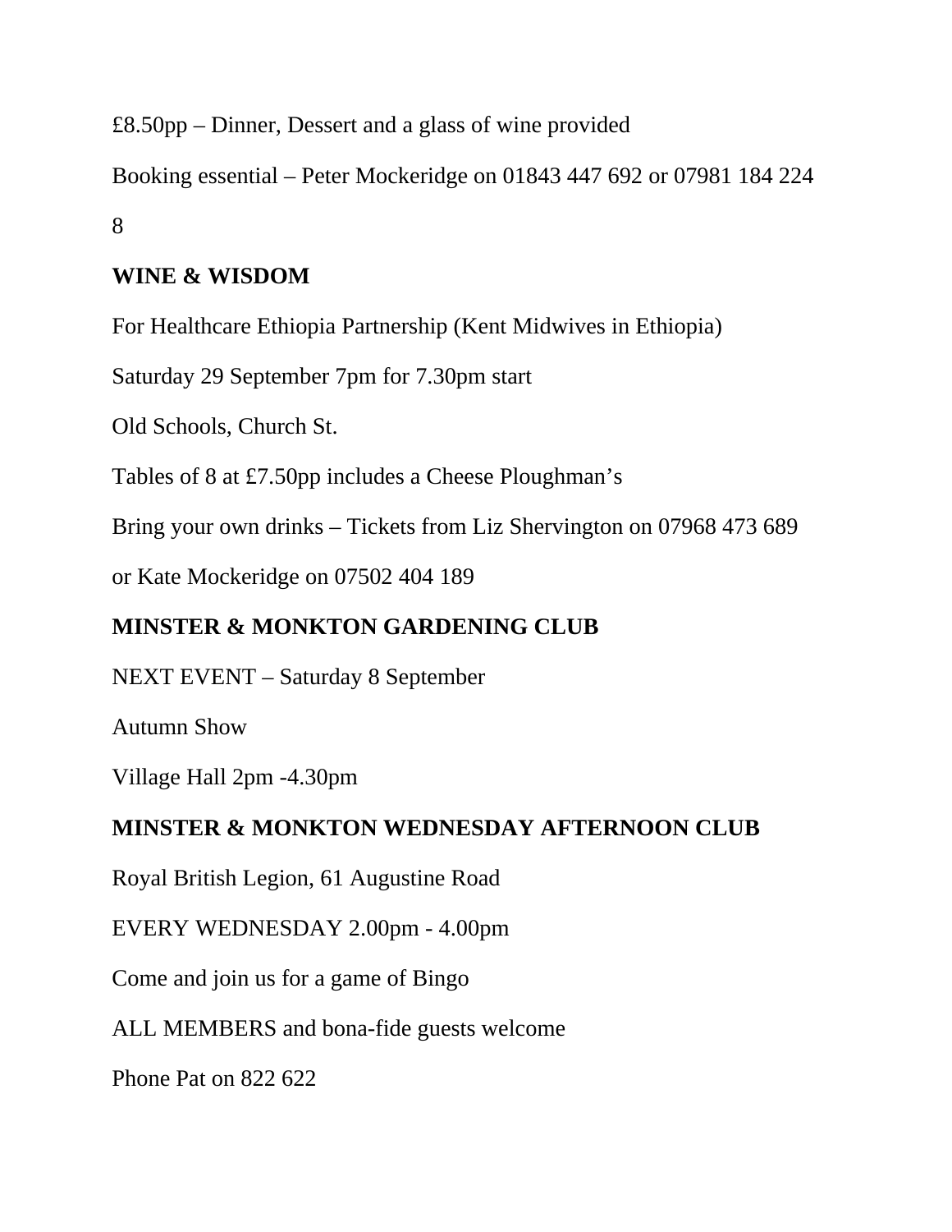£8.50pp – Dinner, Dessert and a glass of wine provided

Booking essential – Peter Mockeridge on 01843 447 692 or 07981 184 224 8

# **WINE & WISDOM**

For Healthcare Ethiopia Partnership (Kent Midwives in Ethiopia)

Saturday 29 September 7pm for 7.30pm start

Old Schools, Church St.

Tables of 8 at £7.50pp includes a Cheese Ploughman's

Bring your own drinks – Tickets from Liz Shervington on 07968 473 689

or Kate Mockeridge on 07502 404 189

#### **MINSTER & MONKTON GARDENING CLUB**

NEXT EVENT – Saturday 8 September

Autumn Show

Village Hall 2pm -4.30pm

#### **MINSTER & MONKTON WEDNESDAY AFTERNOON CLUB**

Royal British Legion, 61 Augustine Road

EVERY WEDNESDAY 2.00pm - 4.00pm

Come and join us for a game of Bingo

ALL MEMBERS and bona-fide guests welcome

Phone Pat on 822 622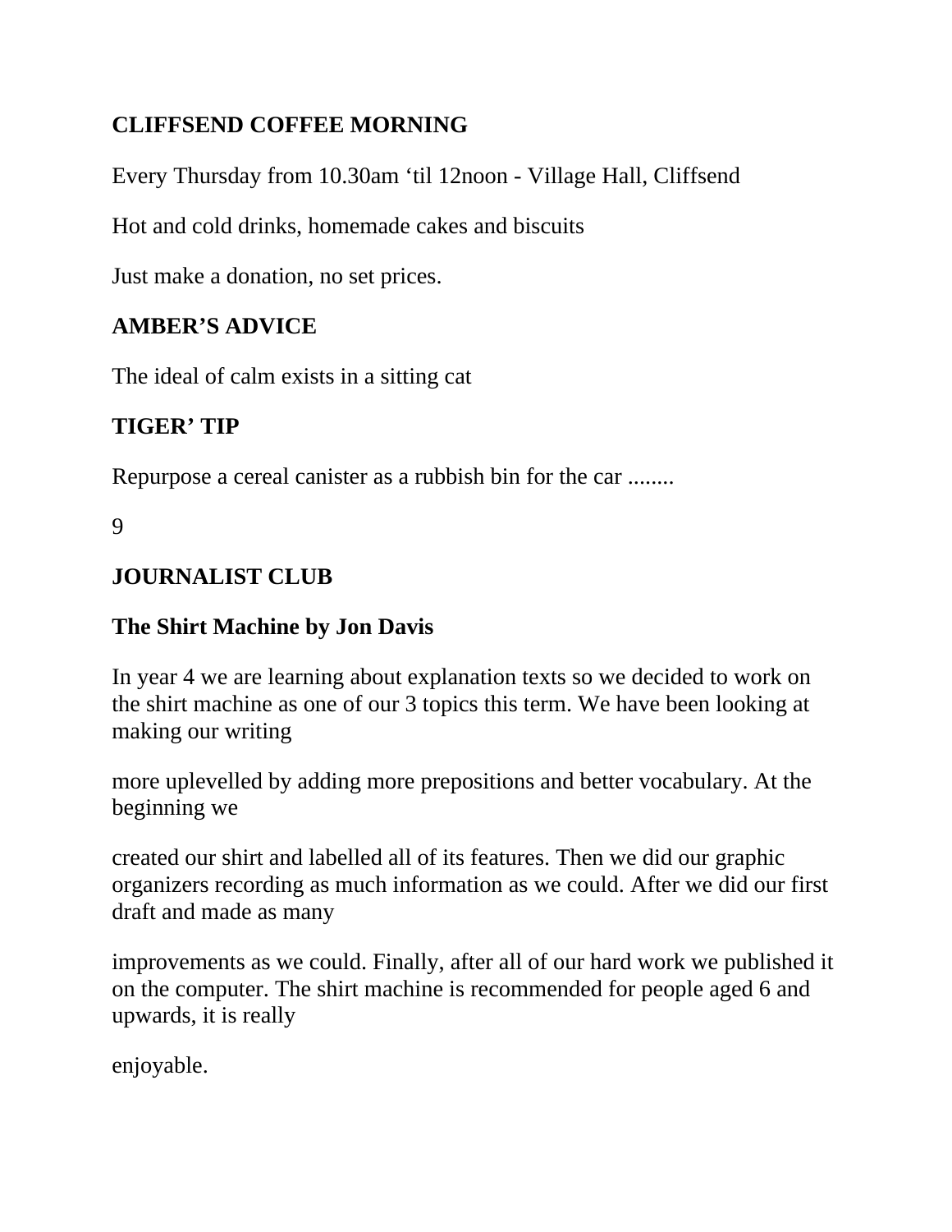# **CLIFFSEND COFFEE MORNING**

Every Thursday from 10.30am 'til 12noon - Village Hall, Cliffsend

Hot and cold drinks, homemade cakes and biscuits

Just make a donation, no set prices.

#### **AMBER'S ADVICE**

The ideal of calm exists in a sitting cat

# **TIGER' TIP**

Repurpose a cereal canister as a rubbish bin for the car ........

9

#### **JOURNALIST CLUB**

#### **The Shirt Machine by Jon Davis**

In year 4 we are learning about explanation texts so we decided to work on the shirt machine as one of our 3 topics this term. We have been looking at making our writing

more uplevelled by adding more prepositions and better vocabulary. At the beginning we

created our shirt and labelled all of its features. Then we did our graphic organizers recording as much information as we could. After we did our first draft and made as many

improvements as we could. Finally, after all of our hard work we published it on the computer. The shirt machine is recommended for people aged 6 and upwards, it is really

enjoyable.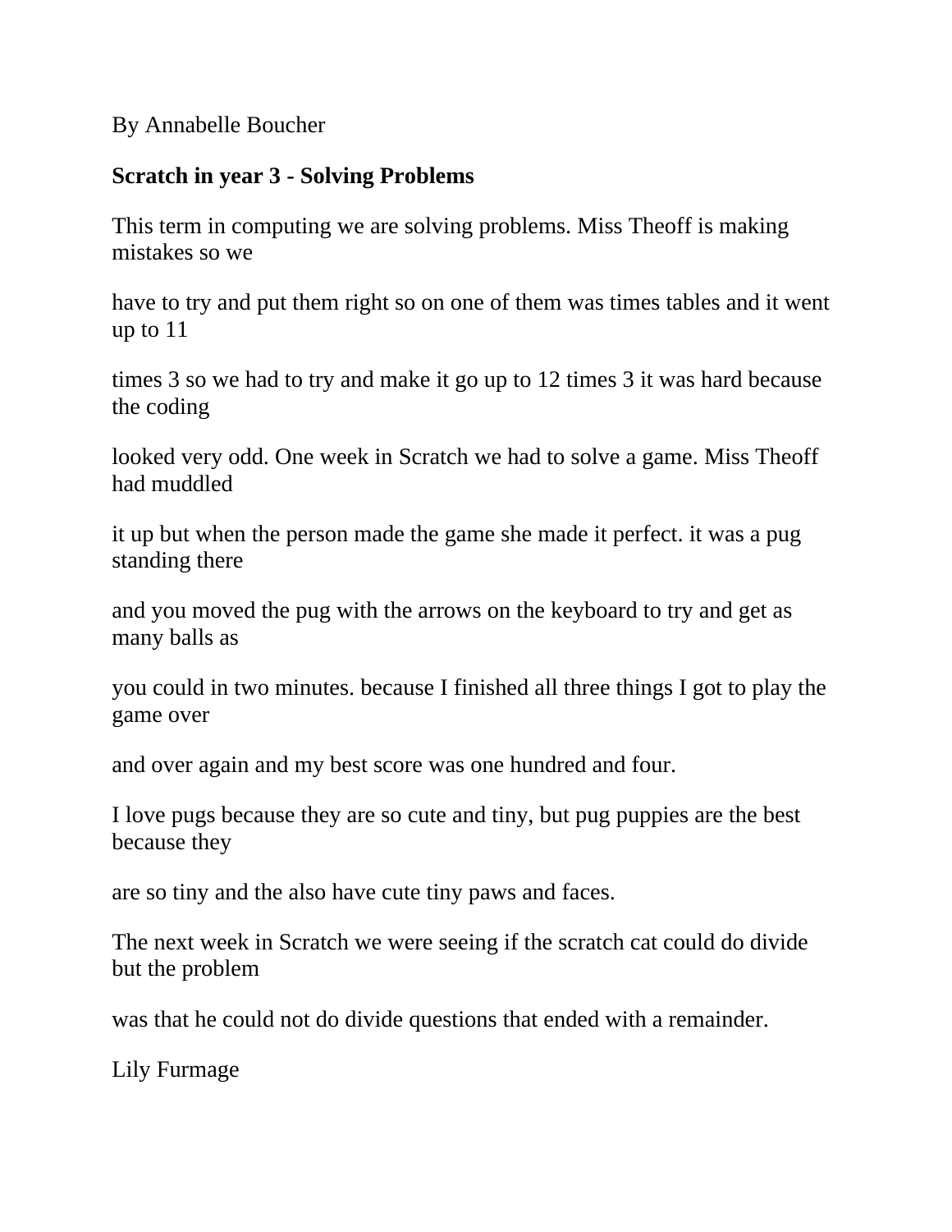By Annabelle Boucher

#### **Scratch in year 3 - Solving Problems**

This term in computing we are solving problems. Miss Theoff is making mistakes so we

have to try and put them right so on one of them was times tables and it went up to 11

times 3 so we had to try and make it go up to 12 times 3 it was hard because the coding

looked very odd. One week in Scratch we had to solve a game. Miss Theoff had muddled

it up but when the person made the game she made it perfect. it was a pug standing there

and you moved the pug with the arrows on the keyboard to try and get as many balls as

you could in two minutes. because I finished all three things I got to play the game over

and over again and my best score was one hundred and four.

I love pugs because they are so cute and tiny, but pug puppies are the best because they

are so tiny and the also have cute tiny paws and faces.

The next week in Scratch we were seeing if the scratch cat could do divide but the problem

was that he could not do divide questions that ended with a remainder.

Lily Furmage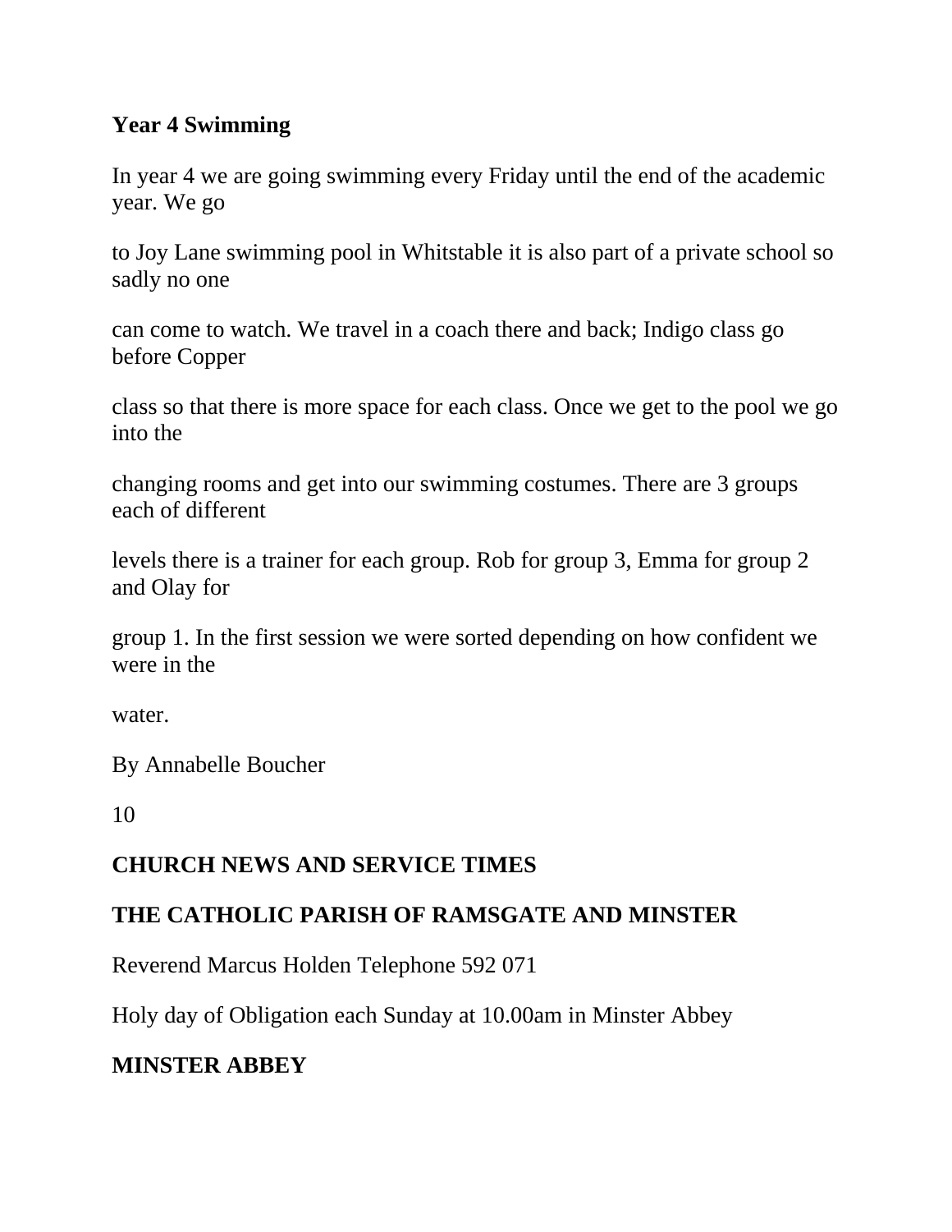#### **Year 4 Swimming**

In year 4 we are going swimming every Friday until the end of the academic year. We go

to Joy Lane swimming pool in Whitstable it is also part of a private school so sadly no one

can come to watch. We travel in a coach there and back; Indigo class go before Copper

class so that there is more space for each class. Once we get to the pool we go into the

changing rooms and get into our swimming costumes. There are 3 groups each of different

levels there is a trainer for each group. Rob for group 3, Emma for group 2 and Olay for

group 1. In the first session we were sorted depending on how confident we were in the

water.

By Annabelle Boucher

10

#### **CHURCH NEWS AND SERVICE TIMES**

#### **THE CATHOLIC PARISH OF RAMSGATE AND MINSTER**

Reverend Marcus Holden Telephone 592 071

Holy day of Obligation each Sunday at 10.00am in Minster Abbey

#### **MINSTER ABBEY**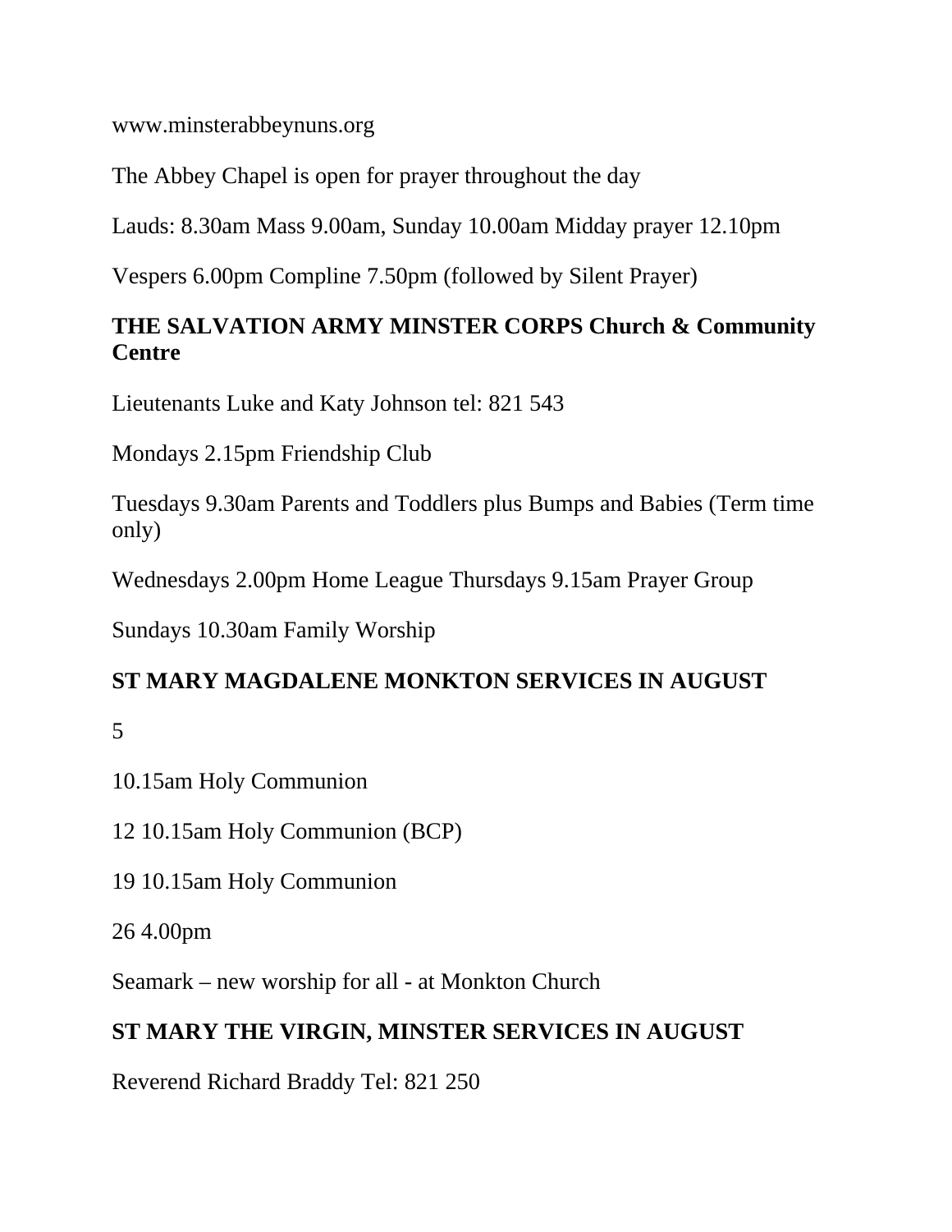www.minsterabbeynuns.org

The Abbey Chapel is open for prayer throughout the day

Lauds: 8.30am Mass 9.00am, Sunday 10.00am Midday prayer 12.10pm

Vespers 6.00pm Compline 7.50pm (followed by Silent Prayer)

# **THE SALVATION ARMY MINSTER CORPS Church & Community Centre**

Lieutenants Luke and Katy Johnson tel: 821 543

Mondays 2.15pm Friendship Club

Tuesdays 9.30am Parents and Toddlers plus Bumps and Babies (Term time only)

Wednesdays 2.00pm Home League Thursdays 9.15am Prayer Group

Sundays 10.30am Family Worship

#### **ST MARY MAGDALENE MONKTON SERVICES IN AUGUST**

5

10.15am Holy Communion

12 10.15am Holy Communion (BCP)

19 10.15am Holy Communion

26 4.00pm

Seamark – new worship for all - at Monkton Church

# **ST MARY THE VIRGIN, MINSTER SERVICES IN AUGUST**

Reverend Richard Braddy Tel: 821 250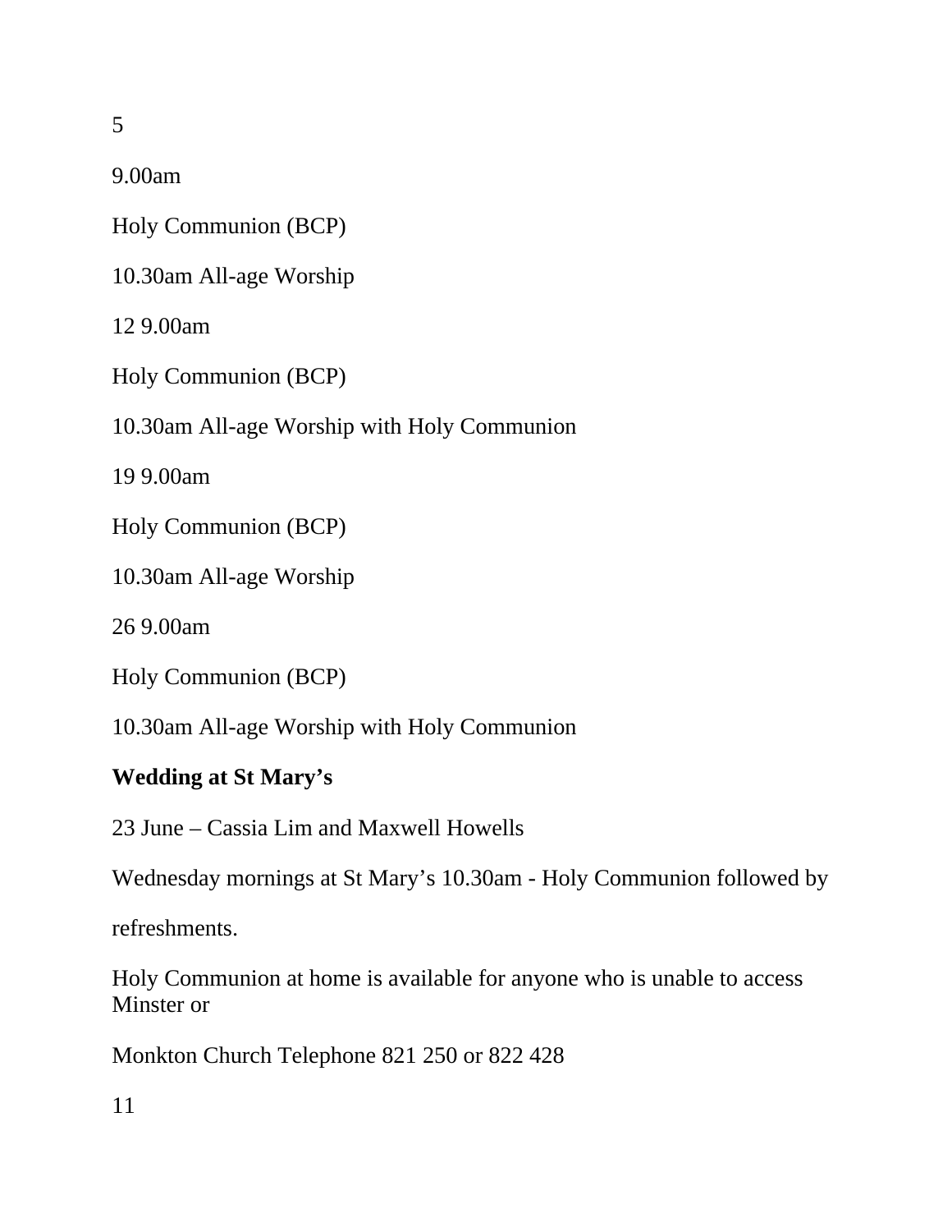5

9.00am

Holy Communion (BCP)

10.30am All-age Worship

12 9.00am

Holy Communion (BCP)

10.30am All-age Worship with Holy Communion

19 9.00am

Holy Communion (BCP)

10.30am All-age Worship

26 9.00am

Holy Communion (BCP)

10.30am All-age Worship with Holy Communion

#### **Wedding at St Mary's**

23 June – Cassia Lim and Maxwell Howells

Wednesday mornings at St Mary's 10.30am - Holy Communion followed by

refreshments.

Holy Communion at home is available for anyone who is unable to access Minster or

Monkton Church Telephone 821 250 or 822 428

11